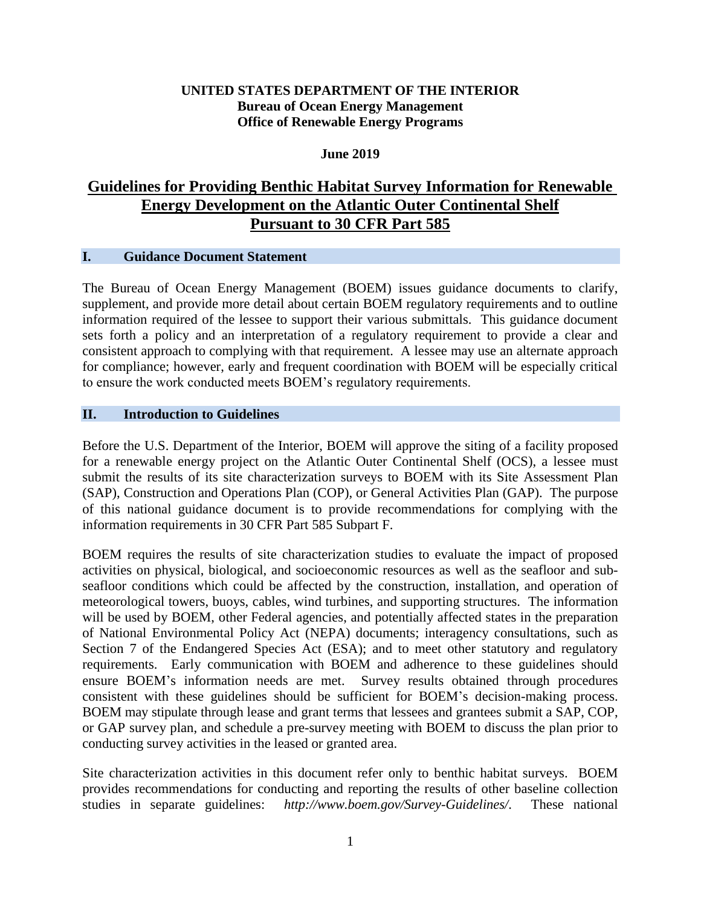### **UNITED STATES DEPARTMENT OF THE INTERIOR Bureau of Ocean Energy Management Office of Renewable Energy Programs**

### **June 2019**

# **Guidelines for Providing Benthic Habitat Survey Information for Renewable Energy Development on the Atlantic Outer Continental Shelf Pursuant to 30 CFR Part 585**

### **I. Guidance Document Statement**

The Bureau of Ocean Energy Management (BOEM) issues guidance documents to clarify, supplement, and provide more detail about certain BOEM regulatory requirements and to outline information required of the lessee to support their various submittals. This guidance document sets forth a policy and an interpretation of a regulatory requirement to provide a clear and consistent approach to complying with that requirement. A lessee may use an alternate approach for compliance; however, early and frequent coordination with BOEM will be especially critical to ensure the work conducted meets BOEM's regulatory requirements.

### **II. Introduction to Guidelines**

Before the U.S. Department of the Interior, BOEM will approve the siting of a facility proposed for a renewable energy project on the Atlantic Outer Continental Shelf (OCS), a lessee must submit the results of its site characterization surveys to BOEM with its Site Assessment Plan (SAP), Construction and Operations Plan (COP), or General Activities Plan (GAP). The purpose of this national guidance document is to provide recommendations for complying with the information requirements in 30 CFR Part 585 Subpart F.

BOEM requires the results of site characterization studies to evaluate the impact of proposed activities on physical, biological, and socioeconomic resources as well as the seafloor and subseafloor conditions which could be affected by the construction, installation, and operation of meteorological towers, buoys, cables, wind turbines, and supporting structures. The information will be used by BOEM, other Federal agencies, and potentially affected states in the preparation of National Environmental Policy Act (NEPA) documents; interagency consultations, such as Section 7 of the Endangered Species Act (ESA); and to meet other statutory and regulatory requirements. Early communication with BOEM and adherence to these guidelines should ensure BOEM's information needs are met. Survey results obtained through procedures consistent with these guidelines should be sufficient for BOEM's decision-making process. BOEM may stipulate through lease and grant terms that lessees and grantees submit a SAP, COP, or GAP survey plan, and schedule a pre-survey meeting with BOEM to discuss the plan prior to conducting survey activities in the leased or granted area.

Site characterization activities in this document refer only to benthic habitat surveys. BOEM provides recommendations for conducting and reporting the results of other baseline collection studies in separate guidelines: *http://www.boem.gov/Survey-Guidelines/*. These national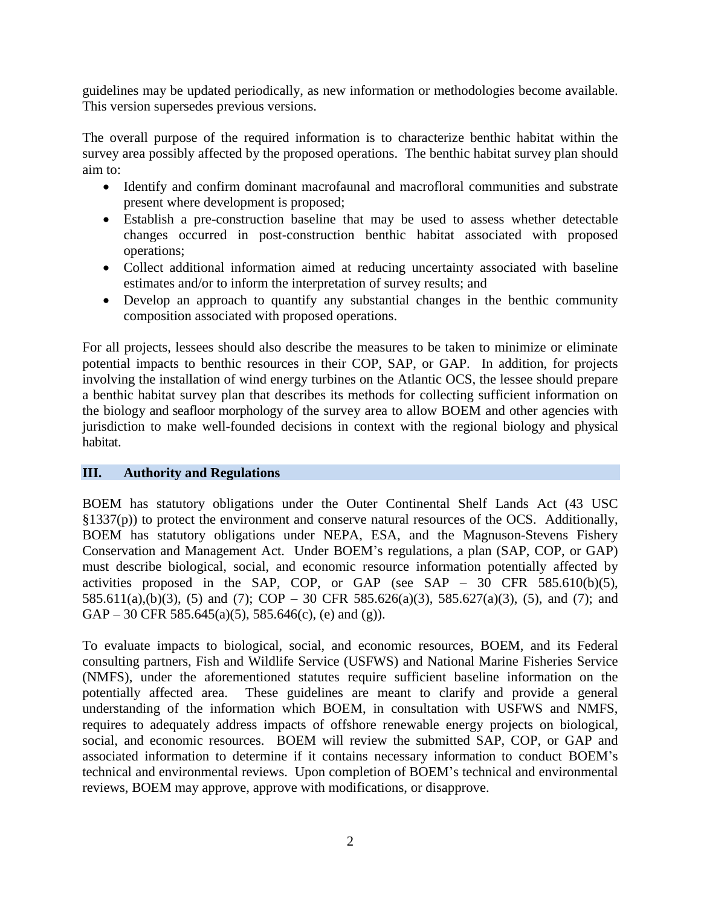guidelines may be updated periodically, as new information or methodologies become available. This version supersedes previous versions.

The overall purpose of the required information is to characterize benthic habitat within the survey area possibly affected by the proposed operations. The benthic habitat survey plan should aim to:

- Identify and confirm dominant macrofaunal and macrofloral communities and substrate present where development is proposed;
- Establish a pre-construction baseline that may be used to assess whether detectable changes occurred in post-construction benthic habitat associated with proposed operations;
- Collect additional information aimed at reducing uncertainty associated with baseline estimates and/or to inform the interpretation of survey results; and
- Develop an approach to quantify any substantial changes in the benthic community composition associated with proposed operations.

For all projects, lessees should also describe the measures to be taken to minimize or eliminate potential impacts to benthic resources in their COP, SAP, or GAP. In addition, for projects involving the installation of wind energy turbines on the Atlantic OCS, the lessee should prepare a benthic habitat survey plan that describes its methods for collecting sufficient information on the biology and seafloor morphology of the survey area to allow BOEM and other agencies with jurisdiction to make well-founded decisions in context with the regional biology and physical habitat.

### **III. Authority and Regulations**

BOEM has statutory obligations under the Outer Continental Shelf Lands Act (43 USC §1337(p)) to protect the environment and conserve natural resources of the OCS. Additionally, BOEM has statutory obligations under NEPA, ESA, and the Magnuson-Stevens Fishery Conservation and Management Act. Under BOEM's regulations, a plan (SAP, COP, or GAP) must describe biological, social, and economic resource information potentially affected by activities proposed in the SAP, COP, or GAP (see SAP –  $30$  CFR 585.610(b)(5), 585.611(a),(b)(3), (5) and (7); COP – 30 CFR 585.626(a)(3), 585.627(a)(3), (5), and (7); and GAP – 30 CFR 585.645(a)(5), 585.646(c), (e) and (g)).

To evaluate impacts to biological, social, and economic resources, BOEM, and its Federal consulting partners, Fish and Wildlife Service (USFWS) and National Marine Fisheries Service (NMFS), under the aforementioned statutes require sufficient baseline information on the potentially affected area. These guidelines are meant to clarify and provide a general understanding of the information which BOEM, in consultation with USFWS and NMFS, requires to adequately address impacts of offshore renewable energy projects on biological, social, and economic resources. BOEM will review the submitted SAP, COP, or GAP and associated information to determine if it contains necessary information to conduct BOEM's technical and environmental reviews. Upon completion of BOEM's technical and environmental reviews, BOEM may approve, approve with modifications, or disapprove.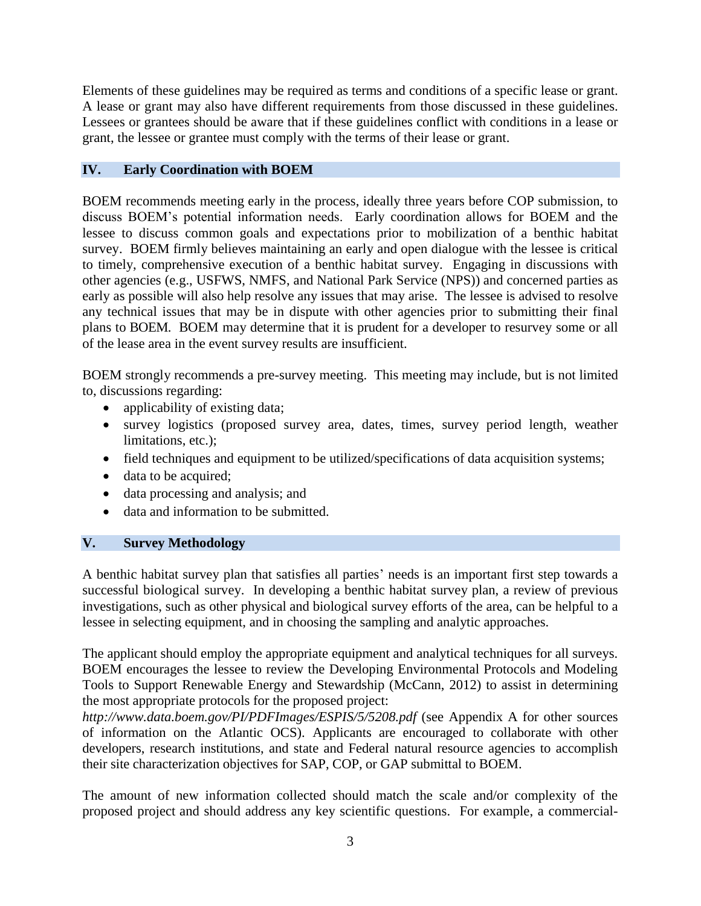Elements of these guidelines may be required as terms and conditions of a specific lease or grant. A lease or grant may also have different requirements from those discussed in these guidelines. Lessees or grantees should be aware that if these guidelines conflict with conditions in a lease or grant, the lessee or grantee must comply with the terms of their lease or grant.

## **IV. Early Coordination with BOEM**

BOEM recommends meeting early in the process, ideally three years before COP submission, to discuss BOEM's potential information needs. Early coordination allows for BOEM and the lessee to discuss common goals and expectations prior to mobilization of a benthic habitat survey. BOEM firmly believes maintaining an early and open dialogue with the lessee is critical to timely, comprehensive execution of a benthic habitat survey. Engaging in discussions with other agencies (e.g., USFWS, NMFS, and National Park Service (NPS)) and concerned parties as early as possible will also help resolve any issues that may arise. The lessee is advised to resolve any technical issues that may be in dispute with other agencies prior to submitting their final plans to BOEM. BOEM may determine that it is prudent for a developer to resurvey some or all of the lease area in the event survey results are insufficient.

BOEM strongly recommends a pre-survey meeting. This meeting may include, but is not limited to, discussions regarding:

- applicability of existing data;
- survey logistics (proposed survey area, dates, times, survey period length, weather limitations, etc.);
- field techniques and equipment to be utilized/specifications of data acquisition systems;
- data to be acquired;
- data processing and analysis; and
- data and information to be submitted.

### **V. Survey Methodology**

A benthic habitat survey plan that satisfies all parties' needs is an important first step towards a successful biological survey. In developing a benthic habitat survey plan, a review of previous investigations, such as other physical and biological survey efforts of the area, can be helpful to a lessee in selecting equipment, and in choosing the sampling and analytic approaches.

The applicant should employ the appropriate equipment and analytical techniques for all surveys. BOEM encourages the lessee to review the Developing Environmental Protocols and Modeling Tools to Support Renewable Energy and Stewardship (McCann, 2012) to assist in determining the most appropriate protocols for the proposed project:

*http://www.data.boem.gov/PI/PDFImages/ESPIS/5/5208.pdf* (see Appendix A for other sources of information on the Atlantic OCS). Applicants are encouraged to collaborate with other developers, research institutions, and state and Federal natural resource agencies to accomplish their site characterization objectives for SAP, COP, or GAP submittal to BOEM.

The amount of new information collected should match the scale and/or complexity of the proposed project and should address any key scientific questions. For example, a commercial-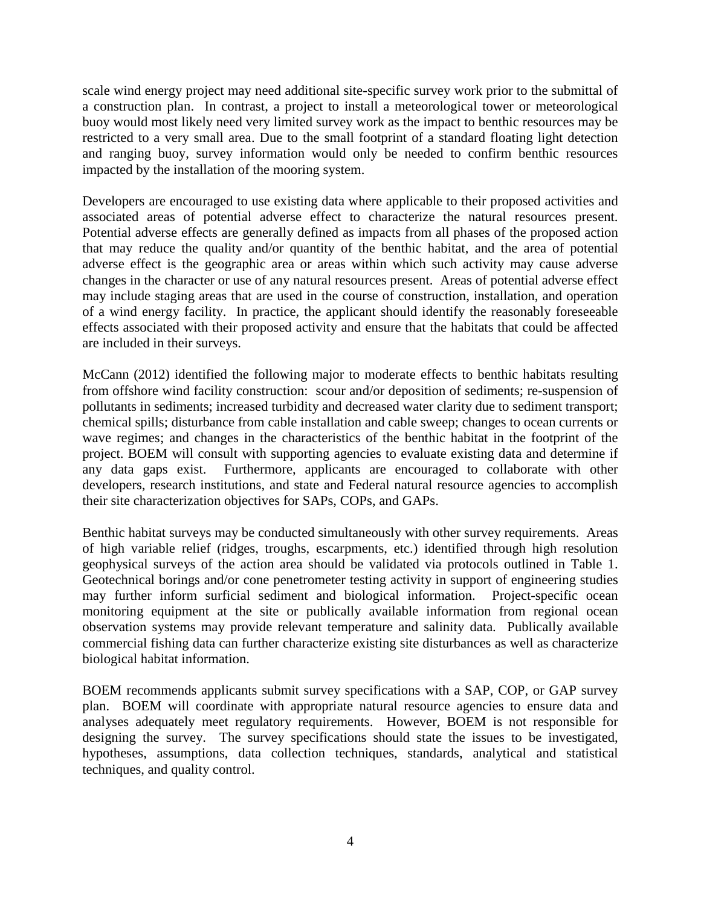scale wind energy project may need additional site-specific survey work prior to the submittal of a construction plan. In contrast, a project to install a meteorological tower or meteorological buoy would most likely need very limited survey work as the impact to benthic resources may be restricted to a very small area. Due to the small footprint of a standard floating light detection and ranging buoy, survey information would only be needed to confirm benthic resources impacted by the installation of the mooring system.

Developers are encouraged to use existing data where applicable to their proposed activities and associated areas of potential adverse effect to characterize the natural resources present. Potential adverse effects are generally defined as impacts from all phases of the proposed action that may reduce the quality and/or quantity of the benthic habitat, and the area of potential adverse effect is the geographic area or areas within which such activity may cause adverse changes in the character or use of any natural resources present. Areas of potential adverse effect may include staging areas that are used in the course of construction, installation, and operation of a wind energy facility. In practice, the applicant should identify the reasonably foreseeable effects associated with their proposed activity and ensure that the habitats that could be affected are included in their surveys.

McCann (2012) identified the following major to moderate effects to benthic habitats resulting from offshore wind facility construction: scour and/or deposition of sediments; re-suspension of pollutants in sediments; increased turbidity and decreased water clarity due to sediment transport; chemical spills; disturbance from cable installation and cable sweep; changes to ocean currents or wave regimes; and changes in the characteristics of the benthic habitat in the footprint of the project. BOEM will consult with supporting agencies to evaluate existing data and determine if any data gaps exist. Furthermore, applicants are encouraged to collaborate with other developers, research institutions, and state and Federal natural resource agencies to accomplish their site characterization objectives for SAPs, COPs, and GAPs.

Benthic habitat surveys may be conducted simultaneously with other survey requirements. Areas of high variable relief (ridges, troughs, escarpments, etc.) identified through high resolution geophysical surveys of the action area should be validated via protocols outlined in Table 1. Geotechnical borings and/or cone penetrometer testing activity in support of engineering studies may further inform surficial sediment and biological information. Project-specific ocean monitoring equipment at the site or publically available information from regional ocean observation systems may provide relevant temperature and salinity data. Publically available commercial fishing data can further characterize existing site disturbances as well as characterize biological habitat information.

BOEM recommends applicants submit survey specifications with a SAP, COP, or GAP survey plan. BOEM will coordinate with appropriate natural resource agencies to ensure data and analyses adequately meet regulatory requirements. However, BOEM is not responsible for designing the survey. The survey specifications should state the issues to be investigated, hypotheses, assumptions, data collection techniques, standards, analytical and statistical techniques, and quality control.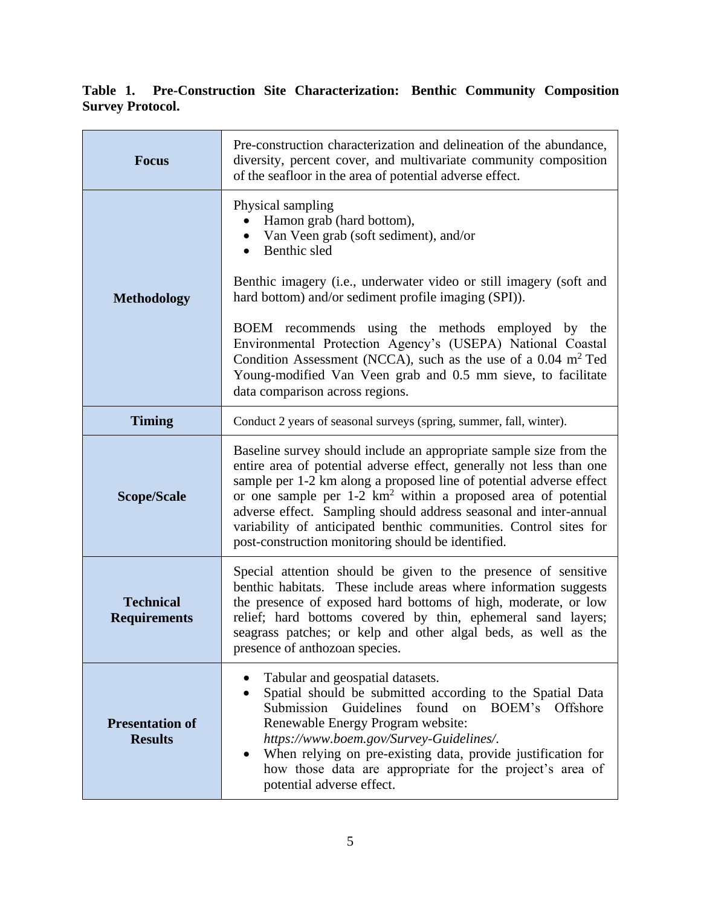# **Table 1. Pre-Construction Site Characterization: Benthic Community Composition Survey Protocol.**

| <b>Focus</b>                             | Pre-construction characterization and delineation of the abundance,<br>diversity, percent cover, and multivariate community composition<br>of the seafloor in the area of potential adverse effect.                                                                                                                                                                                                                                                                                            |  |
|------------------------------------------|------------------------------------------------------------------------------------------------------------------------------------------------------------------------------------------------------------------------------------------------------------------------------------------------------------------------------------------------------------------------------------------------------------------------------------------------------------------------------------------------|--|
|                                          | Physical sampling<br>Hamon grab (hard bottom),<br>• Van Veen grab (soft sediment), and/or<br>Benthic sled                                                                                                                                                                                                                                                                                                                                                                                      |  |
| <b>Methodology</b>                       | Benthic imagery (i.e., underwater video or still imagery (soft and<br>hard bottom) and/or sediment profile imaging (SPI)).                                                                                                                                                                                                                                                                                                                                                                     |  |
|                                          | BOEM recommends using the methods employed by the<br>Environmental Protection Agency's (USEPA) National Coastal<br>Condition Assessment (NCCA), such as the use of a 0.04 m <sup>2</sup> Ted<br>Young-modified Van Veen grab and 0.5 mm sieve, to facilitate<br>data comparison across regions.                                                                                                                                                                                                |  |
| <b>Timing</b>                            | Conduct 2 years of seasonal surveys (spring, summer, fall, winter).                                                                                                                                                                                                                                                                                                                                                                                                                            |  |
| <b>Scope/Scale</b>                       | Baseline survey should include an appropriate sample size from the<br>entire area of potential adverse effect, generally not less than one<br>sample per 1-2 km along a proposed line of potential adverse effect<br>or one sample per 1-2 km <sup>2</sup> within a proposed area of potential<br>adverse effect. Sampling should address seasonal and inter-annual<br>variability of anticipated benthic communities. Control sites for<br>post-construction monitoring should be identified. |  |
| <b>Technical</b><br><b>Requirements</b>  | Special attention should be given to the presence of sensitive<br>benthic habitats. These include areas where information suggests<br>the presence of exposed hard bottoms of high, moderate, or low<br>relief; hard bottoms covered by thin, ephemeral sand layers;<br>seagrass patches; or kelp and other algal beds, as well as the<br>presence of anthozoan species.                                                                                                                       |  |
| <b>Presentation of</b><br><b>Results</b> | Tabular and geospatial datasets.<br>Spatial should be submitted according to the Spatial Data<br>$\bullet$<br>Submission<br>Guidelines<br>found on BOEM's<br>Offshore<br>Renewable Energy Program website:<br>https://www.boem.gov/Survey-Guidelines/.<br>When relying on pre-existing data, provide justification for<br>how those data are appropriate for the project's area of<br>potential adverse effect.                                                                                |  |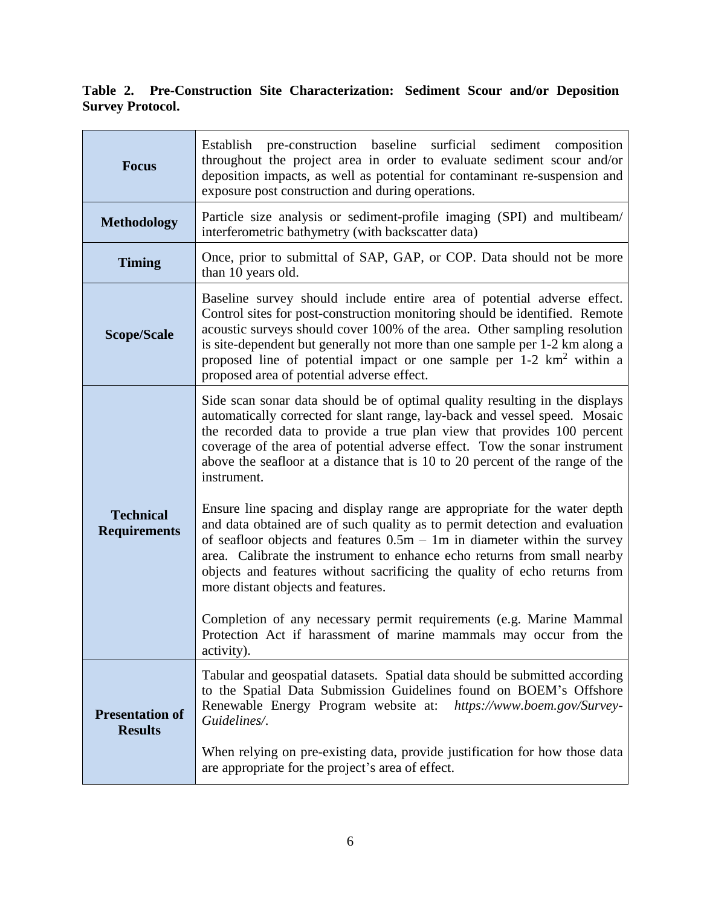## **Table 2. Pre-Construction Site Characterization: Sediment Scour and/or Deposition Survey Protocol.**

| <b>Focus</b>                             | Establish pre-construction baseline surficial<br>sediment<br>composition<br>throughout the project area in order to evaluate sediment scour and/or<br>deposition impacts, as well as potential for contaminant re-suspension and<br>exposure post construction and during operations.                                                                                                                                                                                                                                                                                                                                                                                                                                                                                                                                                                                                                                                                                                                   |  |
|------------------------------------------|---------------------------------------------------------------------------------------------------------------------------------------------------------------------------------------------------------------------------------------------------------------------------------------------------------------------------------------------------------------------------------------------------------------------------------------------------------------------------------------------------------------------------------------------------------------------------------------------------------------------------------------------------------------------------------------------------------------------------------------------------------------------------------------------------------------------------------------------------------------------------------------------------------------------------------------------------------------------------------------------------------|--|
| <b>Methodology</b>                       | Particle size analysis or sediment-profile imaging (SPI) and multibeam/<br>interferometric bathymetry (with backscatter data)                                                                                                                                                                                                                                                                                                                                                                                                                                                                                                                                                                                                                                                                                                                                                                                                                                                                           |  |
| <b>Timing</b>                            | Once, prior to submittal of SAP, GAP, or COP. Data should not be more<br>than 10 years old.                                                                                                                                                                                                                                                                                                                                                                                                                                                                                                                                                                                                                                                                                                                                                                                                                                                                                                             |  |
| <b>Scope/Scale</b>                       | Baseline survey should include entire area of potential adverse effect.<br>Control sites for post-construction monitoring should be identified. Remote<br>acoustic surveys should cover 100% of the area. Other sampling resolution<br>is site-dependent but generally not more than one sample per 1-2 km along a<br>proposed line of potential impact or one sample per $1-2 \text{ km}^2$ within a<br>proposed area of potential adverse effect.                                                                                                                                                                                                                                                                                                                                                                                                                                                                                                                                                     |  |
| <b>Technical</b><br><b>Requirements</b>  | Side scan sonar data should be of optimal quality resulting in the displays<br>automatically corrected for slant range, lay-back and vessel speed. Mosaic<br>the recorded data to provide a true plan view that provides 100 percent<br>coverage of the area of potential adverse effect. Tow the sonar instrument<br>above the seafloor at a distance that is 10 to 20 percent of the range of the<br>instrument.<br>Ensure line spacing and display range are appropriate for the water depth<br>and data obtained are of such quality as to permit detection and evaluation<br>of seafloor objects and features $0.5m - 1m$ in diameter within the survey<br>area. Calibrate the instrument to enhance echo returns from small nearby<br>objects and features without sacrificing the quality of echo returns from<br>more distant objects and features.<br>Completion of any necessary permit requirements (e.g. Marine Mammal<br>Protection Act if harassment of marine mammals may occur from the |  |
| <b>Presentation of</b><br><b>Results</b> | activity).<br>Tabular and geospatial datasets. Spatial data should be submitted according<br>to the Spatial Data Submission Guidelines found on BOEM's Offshore<br>Renewable Energy Program website at:<br>https://www.boem.gov/Survey-<br>Guidelines/.<br>When relying on pre-existing data, provide justification for how those data<br>are appropriate for the project's area of effect.                                                                                                                                                                                                                                                                                                                                                                                                                                                                                                                                                                                                             |  |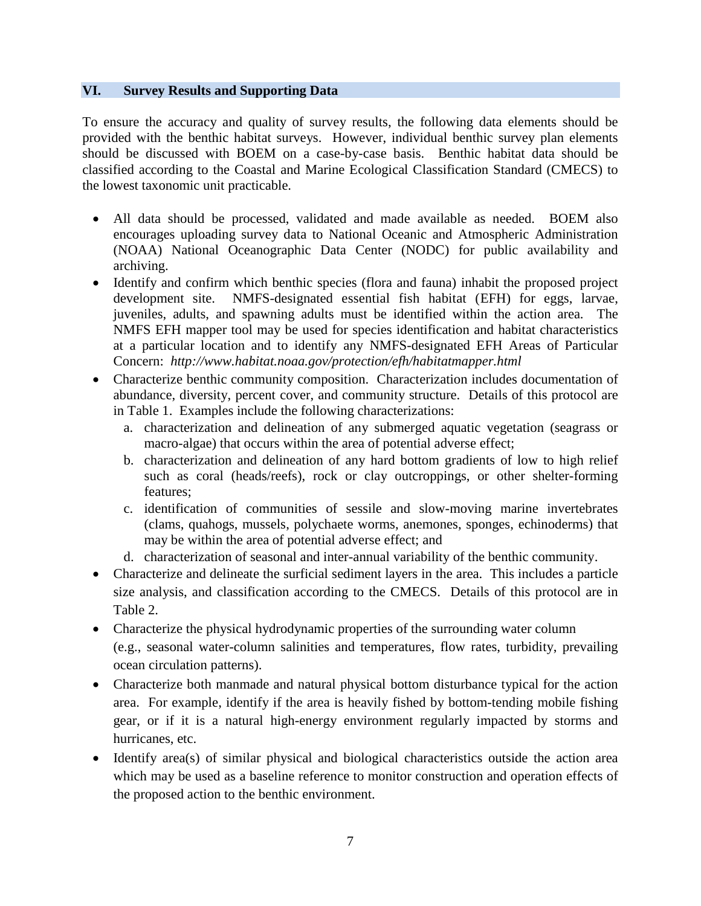### **VI. Survey Results and Supporting Data**

To ensure the accuracy and quality of survey results, the following data elements should be provided with the benthic habitat surveys. However, individual benthic survey plan elements should be discussed with BOEM on a case-by-case basis. Benthic habitat data should be classified according to the Coastal and Marine Ecological Classification Standard (CMECS) to the lowest taxonomic unit practicable.

- All data should be processed, validated and made available as needed. BOEM also encourages uploading survey data to National Oceanic and Atmospheric Administration (NOAA) National Oceanographic Data Center (NODC) for public availability and archiving.
- Identify and confirm which benthic species (flora and fauna) inhabit the proposed project development site. NMFS-designated essential fish habitat (EFH) for eggs, larvae, juveniles, adults, and spawning adults must be identified within the action area. The NMFS EFH mapper tool may be used for species identification and habitat characteristics at a particular location and to identify any NMFS-designated EFH Areas of Particular Concern: *http://www.habitat.noaa.gov/protection/efh/habitatmapper.html*
- Characterize benthic community composition. Characterization includes documentation of abundance, diversity, percent cover, and community structure. Details of this protocol are in Table 1. Examples include the following characterizations:
	- a. characterization and delineation of any submerged aquatic vegetation (seagrass or macro-algae) that occurs within the area of potential adverse effect;
	- b. characterization and delineation of any hard bottom gradients of low to high relief such as coral (heads/reefs), rock or clay outcroppings, or other shelter-forming features;
	- c. identification of communities of sessile and slow-moving marine invertebrates (clams, quahogs, mussels, polychaete worms, anemones, sponges, echinoderms) that may be within the area of potential adverse effect; and
	- d. characterization of seasonal and inter-annual variability of the benthic community.
- Characterize and delineate the surficial sediment layers in the area. This includes a particle size analysis, and classification according to the CMECS. Details of this protocol are in Table 2.
- Characterize the physical hydrodynamic properties of the surrounding water column (e.g., seasonal water-column salinities and temperatures, flow rates, turbidity, prevailing ocean circulation patterns).
- Characterize both manmade and natural physical bottom disturbance typical for the action area. For example, identify if the area is heavily fished by bottom-tending mobile fishing gear, or if it is a natural high-energy environment regularly impacted by storms and hurricanes, etc.
- Identify area(s) of similar physical and biological characteristics outside the action area which may be used as a baseline reference to monitor construction and operation effects of the proposed action to the benthic environment.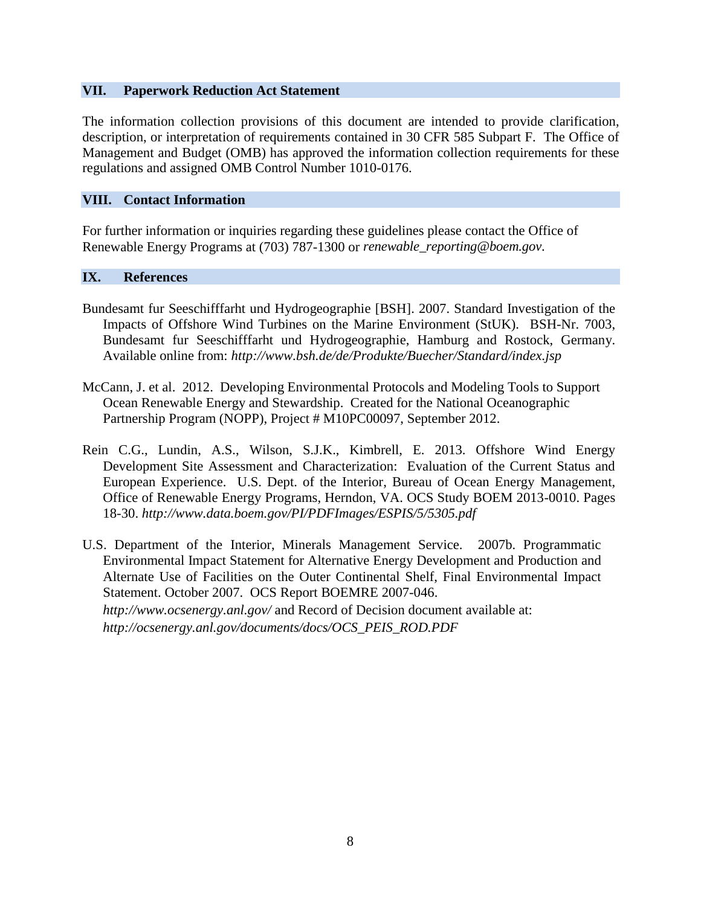### **VII. Paperwork Reduction Act Statement**

The information collection provisions of this document are intended to provide clarification, description, or interpretation of requirements contained in 30 CFR 585 Subpart F. The Office of Management and Budget (OMB) has approved the information collection requirements for these regulations and assigned OMB Control Number 1010-0176.

### **VIII. Contact Information**

For further information or inquiries regarding these guidelines please contact the Office of Renewable Energy Programs at (703) 787-1300 or *renewable\_reporting@boem.gov*.

#### **IX. References**

- Bundesamt fur Seeschifffarht und Hydrogeographie [BSH]. 2007. Standard Investigation of the Impacts of Offshore Wind Turbines on the Marine Environment (StUK). BSH-Nr. 7003, Bundesamt fur Seeschifffarht und Hydrogeographie, Hamburg and Rostock, Germany. Available online from: *http://www.bsh.de/de/Produkte/Buecher/Standard/index.jsp*
- McCann, J. et al. 2012. Developing Environmental Protocols and Modeling Tools to Support Ocean Renewable Energy and Stewardship. Created for the National Oceanographic Partnership Program (NOPP), Project # M10PC00097, September 2012.
- Rein C.G., Lundin, A.S., Wilson, S.J.K., Kimbrell, E. 2013. Offshore Wind Energy Development Site Assessment and Characterization: Evaluation of the Current Status and European Experience. U.S. Dept. of the Interior, Bureau of Ocean Energy Management, Office of Renewable Energy Programs, Herndon, VA. OCS Study BOEM 2013-0010. Pages 18-30. *http://www.data.boem.gov/PI/PDFImages/ESPIS/5/5305.pdf*
- U.S. Department of the Interior, Minerals Management Service. 2007b. Programmatic Environmental Impact Statement for Alternative Energy Development and Production and Alternate Use of Facilities on the Outer Continental Shelf, Final Environmental Impact Statement. October 2007. OCS Report BOEMRE 2007-046. *http://www.ocsenergy.anl.gov/* and Record of Decision document available at: *http://ocsenergy.anl.gov/documents/docs/OCS\_PEIS\_ROD.PDF*